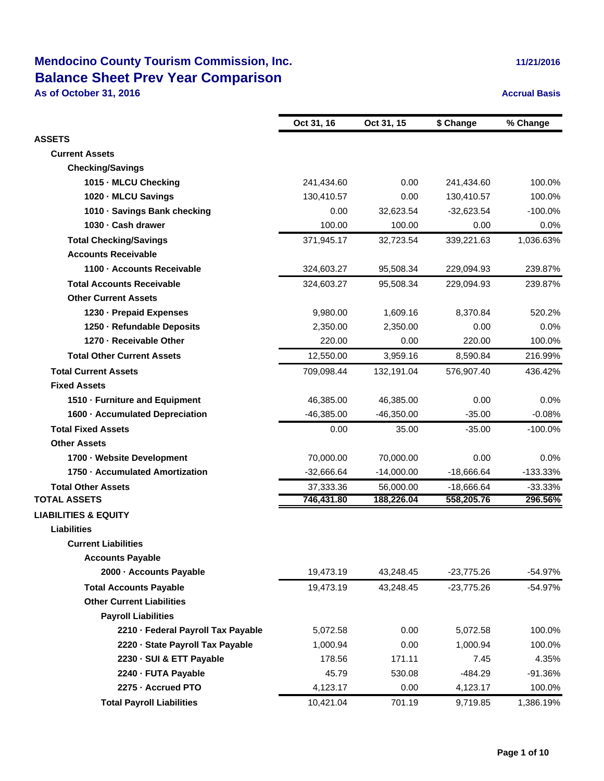## **Mendocino County Tourism Commission, Inc. Balance Sheet Prev Year Comparison**

**As of October 31, 2016 Accrual Basis Accrual Basis** 

|  | 11/21/2016 |  |  |
|--|------------|--|--|
|  |            |  |  |

|                                    | Oct 31, 16   | Oct 31, 15   | \$ Change    | % Change   |
|------------------------------------|--------------|--------------|--------------|------------|
| <b>ASSETS</b>                      |              |              |              |            |
| <b>Current Assets</b>              |              |              |              |            |
| <b>Checking/Savings</b>            |              |              |              |            |
| 1015 - MLCU Checking               | 241,434.60   | 0.00         | 241,434.60   | 100.0%     |
| 1020 - MLCU Savings                | 130,410.57   | 0.00         | 130,410.57   | 100.0%     |
| 1010 Savings Bank checking         | 0.00         | 32.623.54    | $-32,623.54$ | $-100.0%$  |
| 1030 Cash drawer                   | 100.00       | 100.00       | 0.00         | 0.0%       |
| <b>Total Checking/Savings</b>      | 371,945.17   | 32,723.54    | 339,221.63   | 1,036.63%  |
| <b>Accounts Receivable</b>         |              |              |              |            |
| 1100 Accounts Receivable           | 324,603.27   | 95,508.34    | 229,094.93   | 239.87%    |
| <b>Total Accounts Receivable</b>   | 324,603.27   | 95,508.34    | 229,094.93   | 239.87%    |
| <b>Other Current Assets</b>        |              |              |              |            |
| 1230 - Prepaid Expenses            | 9,980.00     | 1,609.16     | 8,370.84     | 520.2%     |
| 1250 Refundable Deposits           | 2,350.00     | 2,350.00     | 0.00         | 0.0%       |
| 1270 - Receivable Other            | 220.00       | 0.00         | 220.00       | 100.0%     |
| <b>Total Other Current Assets</b>  | 12,550.00    | 3,959.16     | 8,590.84     | 216.99%    |
| <b>Total Current Assets</b>        | 709,098.44   | 132,191.04   | 576,907.40   | 436.42%    |
| <b>Fixed Assets</b>                |              |              |              |            |
| 1510 - Furniture and Equipment     | 46,385.00    | 46,385.00    | 0.00         | $0.0\%$    |
| 1600 Accumulated Depreciation      | $-46,385.00$ | $-46,350.00$ | $-35.00$     | $-0.08%$   |
| <b>Total Fixed Assets</b>          | 0.00         | 35.00        | $-35.00$     | $-100.0\%$ |
| <b>Other Assets</b>                |              |              |              |            |
| 1700 - Website Development         | 70,000.00    | 70,000.00    | 0.00         | $0.0\%$    |
| 1750 Accumulated Amortization      | $-32,666.64$ | $-14,000.00$ | $-18,666.64$ | $-133.33%$ |
| <b>Total Other Assets</b>          | 37,333.36    | 56,000.00    | $-18,666.64$ | $-33.33%$  |
| <b>TOTAL ASSETS</b>                | 746,431.80   | 188,226.04   | 558,205.76   | 296.56%    |
| <b>LIABILITIES &amp; EQUITY</b>    |              |              |              |            |
| <b>Liabilities</b>                 |              |              |              |            |
| <b>Current Liabilities</b>         |              |              |              |            |
| <b>Accounts Payable</b>            |              |              |              |            |
| 2000 - Accounts Payable            | 19,473.19    | 43,248.45    | $-23,775.26$ | $-54.97%$  |
| <b>Total Accounts Payable</b>      | 19,473.19    | 43,248.45    | $-23,775.26$ | $-54.97%$  |
| <b>Other Current Liabilities</b>   |              |              |              |            |
| <b>Payroll Liabilities</b>         |              |              |              |            |
| 2210 - Federal Payroll Tax Payable | 5,072.58     | 0.00         | 5,072.58     | 100.0%     |
| 2220 - State Payroll Tax Payable   | 1,000.94     | 0.00         | 1,000.94     | 100.0%     |
| 2230 · SUI & ETT Payable           | 178.56       | 171.11       | 7.45         | 4.35%      |
| 2240 - FUTA Payable                | 45.79        | 530.08       | $-484.29$    | $-91.36%$  |
| 2275 - Accrued PTO                 | 4,123.17     | 0.00         | 4,123.17     | 100.0%     |
| <b>Total Payroll Liabilities</b>   | 10,421.04    | 701.19       | 9,719.85     | 1,386.19%  |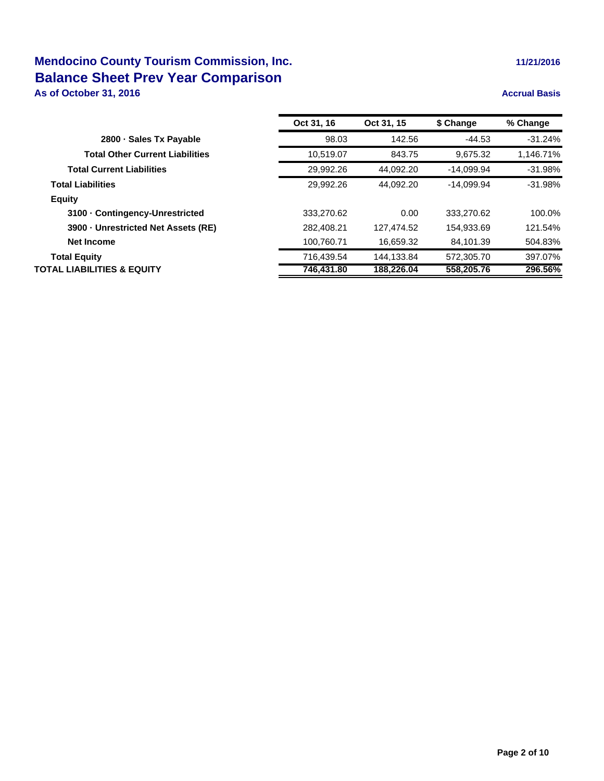# **Mendocino County Tourism Commission, Inc. 11/21/2016 11/21/2016 Balance Sheet Prev Year Comparison**

**As of October 31, 2016 Accrual Basis Accrual Basis** 

| Oct 31, 16 | Oct 31, 15 | \$ Change    | % Change  |
|------------|------------|--------------|-----------|
| 98.03      | 142.56     | $-44.53$     | $-31.24%$ |
| 10,519.07  | 843.75     | 9.675.32     | 1,146.71% |
| 29,992.26  | 44.092.20  | -14.099.94   | $-31.98%$ |
| 29.992.26  | 44.092.20  | $-14.099.94$ | $-31.98%$ |
|            |            |              |           |
| 333.270.62 | 0.00       | 333.270.62   | 100.0%    |
| 282.408.21 | 127.474.52 | 154.933.69   | 121.54%   |
| 100.760.71 | 16.659.32  | 84.101.39    | 504.83%   |
| 716.439.54 | 144.133.84 | 572.305.70   | 397.07%   |
| 746,431.80 | 188,226.04 | 558,205.76   | 296.56%   |
|            |            |              |           |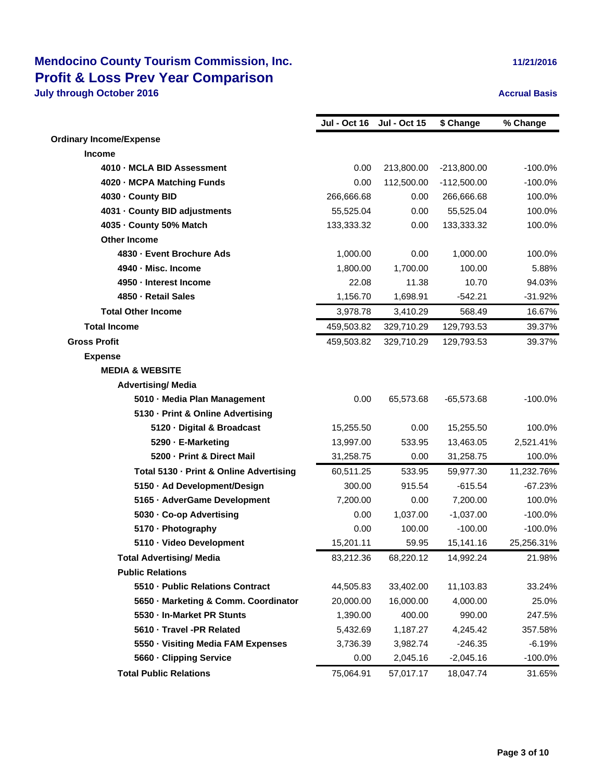|                                         | <b>Jul - Oct 16</b> | <b>Jul - Oct 15</b> | \$ Change     | % Change   |
|-----------------------------------------|---------------------|---------------------|---------------|------------|
| <b>Ordinary Income/Expense</b>          |                     |                     |               |            |
| <b>Income</b>                           |                     |                     |               |            |
| 4010 - MCLA BID Assessment              | 0.00                | 213,800.00          | $-213,800.00$ | $-100.0%$  |
| 4020 - MCPA Matching Funds              | 0.00                | 112,500.00          | $-112,500.00$ | $-100.0%$  |
| 4030 - County BID                       | 266,666.68          | 0.00                | 266,666.68    | 100.0%     |
| 4031 - County BID adjustments           | 55,525.04           | 0.00                | 55,525.04     | 100.0%     |
| 4035 - County 50% Match                 | 133,333.32          | 0.00                | 133,333.32    | 100.0%     |
| <b>Other Income</b>                     |                     |                     |               |            |
| 4830 - Event Brochure Ads               | 1,000.00            | 0.00                | 1,000.00      | 100.0%     |
| 4940 - Misc. Income                     | 1,800.00            | 1,700.00            | 100.00        | 5.88%      |
| 4950 - Interest Income                  | 22.08               | 11.38               | 10.70         | 94.03%     |
| 4850 - Retail Sales                     | 1,156.70            | 1,698.91            | $-542.21$     | $-31.92%$  |
| <b>Total Other Income</b>               | 3,978.78            | 3,410.29            | 568.49        | 16.67%     |
| <b>Total Income</b>                     | 459,503.82          | 329,710.29          | 129,793.53    | 39.37%     |
| <b>Gross Profit</b>                     | 459,503.82          | 329,710.29          | 129,793.53    | 39.37%     |
| <b>Expense</b>                          |                     |                     |               |            |
| <b>MEDIA &amp; WEBSITE</b>              |                     |                     |               |            |
| <b>Advertising/ Media</b>               |                     |                     |               |            |
| 5010 - Media Plan Management            | 0.00                | 65,573.68           | $-65,573.68$  | $-100.0%$  |
| 5130 - Print & Online Advertising       |                     |                     |               |            |
| 5120 - Digital & Broadcast              | 15,255.50           | 0.00                | 15,255.50     | 100.0%     |
| 5290 - E-Marketing                      | 13,997.00           | 533.95              | 13,463.05     | 2,521.41%  |
| 5200 - Print & Direct Mail              | 31,258.75           | 0.00                | 31,258.75     | 100.0%     |
| Total 5130 - Print & Online Advertising | 60,511.25           | 533.95              | 59,977.30     | 11,232.76% |
| 5150 · Ad Development/Design            | 300.00              | 915.54              | $-615.54$     | $-67.23%$  |
| 5165 - AdverGame Development            | 7,200.00            | 0.00                | 7,200.00      | 100.0%     |
| 5030 - Co-op Advertising                | 0.00                | 1,037.00            | $-1,037.00$   | $-100.0%$  |
| 5170 - Photography                      | 0.00                | 100.00              | $-100.00$     | $-100.0%$  |
| 5110 · Video Development                | 15,201.11           | 59.95               | 15,141.16     | 25,256.31% |
| <b>Total Advertising/ Media</b>         | 83,212.36           | 68,220.12           | 14,992.24     | 21.98%     |
| <b>Public Relations</b>                 |                     |                     |               |            |
| 5510 - Public Relations Contract        | 44,505.83           | 33,402.00           | 11,103.83     | 33.24%     |
| 5650 - Marketing & Comm. Coordinator    | 20,000.00           | 16,000.00           | 4,000.00      | 25.0%      |
| 5530 - In-Market PR Stunts              | 1,390.00            | 400.00              | 990.00        | 247.5%     |
| 5610 · Travel -PR Related               | 5,432.69            | 1,187.27            | 4,245.42      | 357.58%    |
| 5550 - Visiting Media FAM Expenses      | 3,736.39            | 3,982.74            | $-246.35$     | $-6.19%$   |
| 5660 - Clipping Service                 | 0.00                | 2,045.16            | $-2,045.16$   | $-100.0%$  |
| <b>Total Public Relations</b>           | 75,064.91           | 57,017.17           | 18,047.74     | 31.65%     |
|                                         |                     |                     |               |            |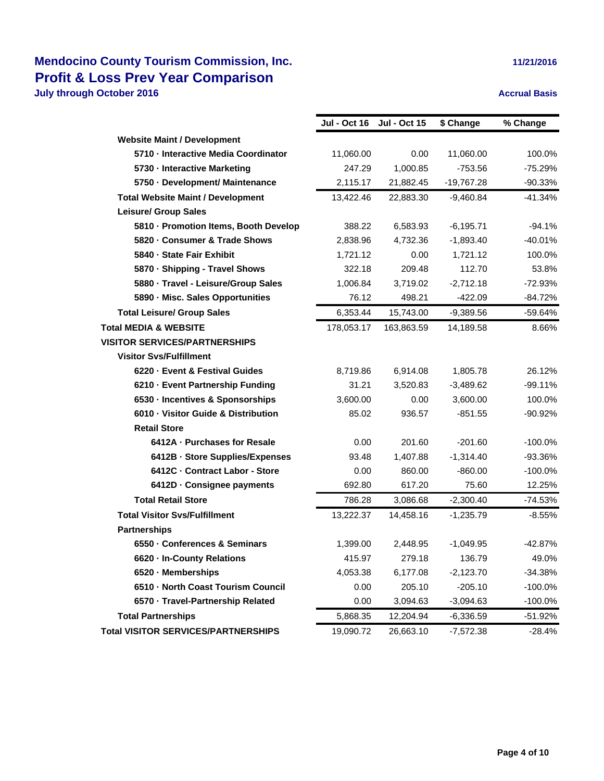|                                          | <b>Jul - Oct 16</b> | <b>Jul - Oct 15</b> | \$ Change    | % Change   |
|------------------------------------------|---------------------|---------------------|--------------|------------|
| <b>Website Maint / Development</b>       |                     |                     |              |            |
| 5710 - Interactive Media Coordinator     | 11,060.00           | 0.00                | 11,060.00    | 100.0%     |
| 5730 - Interactive Marketing             | 247.29              | 1,000.85            | $-753.56$    | $-75.29%$  |
| 5750 - Development/ Maintenance          | 2,115.17            | 21,882.45           | -19,767.28   | $-90.33%$  |
| <b>Total Website Maint / Development</b> | 13,422.46           | 22,883.30           | $-9,460.84$  | $-41.34%$  |
| <b>Leisure/ Group Sales</b>              |                     |                     |              |            |
| 5810 - Promotion Items, Booth Develop    | 388.22              | 6,583.93            | $-6, 195.71$ | $-94.1%$   |
| 5820 - Consumer & Trade Shows            | 2,838.96            | 4,732.36            | $-1,893.40$  | $-40.01%$  |
| 5840 - State Fair Exhibit                | 1,721.12            | 0.00                | 1,721.12     | 100.0%     |
| 5870 - Shipping - Travel Shows           | 322.18              | 209.48              | 112.70       | 53.8%      |
| 5880 - Travel - Leisure/Group Sales      | 1,006.84            | 3,719.02            | $-2,712.18$  | $-72.93%$  |
| 5890 - Misc. Sales Opportunities         | 76.12               | 498.21              | $-422.09$    | $-84.72%$  |
| <b>Total Leisure/ Group Sales</b>        | 6,353.44            | 15,743.00           | $-9,389.56$  | -59.64%    |
| <b>Total MEDIA &amp; WEBSITE</b>         | 178,053.17          | 163,863.59          | 14,189.58    | 8.66%      |
| <b>VISITOR SERVICES/PARTNERSHIPS</b>     |                     |                     |              |            |
| <b>Visitor Svs/Fulfillment</b>           |                     |                     |              |            |
| 6220 - Event & Festival Guides           | 8,719.86            | 6,914.08            | 1,805.78     | 26.12%     |
| 6210 - Event Partnership Funding         | 31.21               | 3,520.83            | $-3,489.62$  | $-99.11%$  |
| 6530 - Incentives & Sponsorships         | 3,600.00            | 0.00                | 3,600.00     | 100.0%     |
| 6010 · Visitor Guide & Distribution      | 85.02               | 936.57              | $-851.55$    | $-90.92%$  |
| <b>Retail Store</b>                      |                     |                     |              |            |
| 6412A - Purchases for Resale             | 0.00                | 201.60              | $-201.60$    | $-100.0\%$ |
| 6412B · Store Supplies/Expenses          | 93.48               | 1,407.88            | $-1,314.40$  | $-93.36%$  |
| 6412C Contract Labor - Store             | 0.00                | 860.00              | $-860.00$    | $-100.0\%$ |
| 6412D Consignee payments                 | 692.80              | 617.20              | 75.60        | 12.25%     |
| <b>Total Retail Store</b>                | 786.28              | 3,086.68            | $-2,300.40$  | $-74.53%$  |
| <b>Total Visitor Sys/Fulfillment</b>     | 13,222.37           | 14,458.16           | $-1,235.79$  | $-8.55%$   |
| <b>Partnerships</b>                      |                     |                     |              |            |
| 6550 - Conferences & Seminars            | 1,399.00            | 2,448.95            | $-1,049.95$  | $-42.87%$  |
| 6620 - In-County Relations               | 415.97              | 279.18              | 136.79       | 49.0%      |
| 6520 - Memberships                       | 4,053.38            | 6,177.08            | $-2,123.70$  | -34.38%    |
| 6510 - North Coast Tourism Council       | 0.00                | 205.10              | $-205.10$    | $-100.0%$  |
| 6570 · Travel-Partnership Related        | 0.00                | 3,094.63            | $-3,094.63$  | $-100.0\%$ |
| <b>Total Partnerships</b>                | 5,868.35            | 12,204.94           | $-6,336.59$  | -51.92%    |
| Total VISITOR SERVICES/PARTNERSHIPS      | 19,090.72           | 26,663.10           | $-7,572.38$  | $-28.4%$   |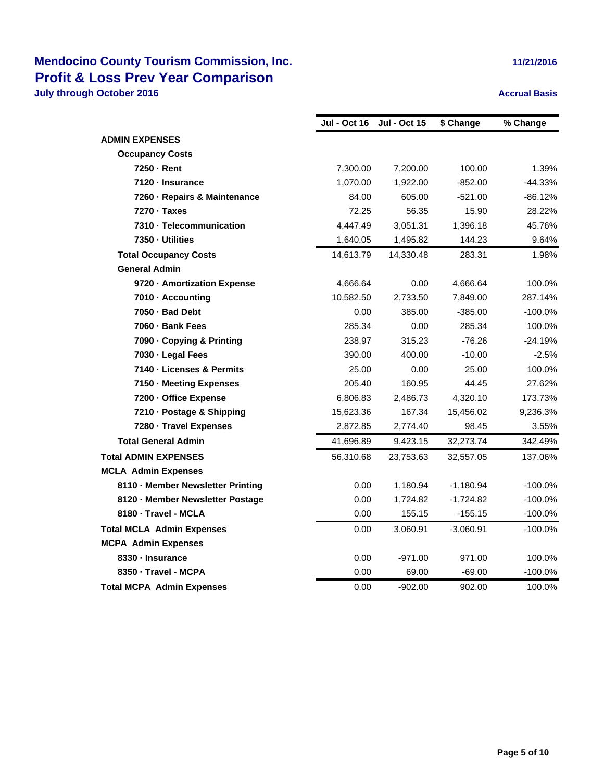|  | 11/21/2016 |  |
|--|------------|--|
|  |            |  |

|                                   | Jul - Oct 16 | <b>Jul - Oct 15</b> | \$ Change   | % Change  |
|-----------------------------------|--------------|---------------------|-------------|-----------|
| <b>ADMIN EXPENSES</b>             |              |                     |             |           |
| <b>Occupancy Costs</b>            |              |                     |             |           |
| 7250 - Rent                       | 7,300.00     | 7,200.00            | 100.00      | 1.39%     |
| 7120 - Insurance                  | 1,070.00     | 1,922.00            | $-852.00$   | $-44.33%$ |
| 7260 - Repairs & Maintenance      | 84.00        | 605.00              | $-521.00$   | $-86.12%$ |
| 7270 · Taxes                      | 72.25        | 56.35               | 15.90       | 28.22%    |
| 7310 - Telecommunication          | 4,447.49     | 3,051.31            | 1,396.18    | 45.76%    |
| 7350 - Utilities                  | 1,640.05     | 1,495.82            | 144.23      | 9.64%     |
| <b>Total Occupancy Costs</b>      | 14,613.79    | 14,330.48           | 283.31      | 1.98%     |
| <b>General Admin</b>              |              |                     |             |           |
| 9720 - Amortization Expense       | 4,666.64     | 0.00                | 4,666.64    | 100.0%    |
| 7010 - Accounting                 | 10,582.50    | 2,733.50            | 7,849.00    | 287.14%   |
| 7050 - Bad Debt                   | 0.00         | 385.00              | $-385.00$   | $-100.0%$ |
| 7060 - Bank Fees                  | 285.34       | 0.00                | 285.34      | 100.0%    |
| 7090 - Copying & Printing         | 238.97       | 315.23              | $-76.26$    | $-24.19%$ |
| 7030 - Legal Fees                 | 390.00       | 400.00              | $-10.00$    | $-2.5%$   |
| 7140 - Licenses & Permits         | 25.00        | 0.00                | 25.00       | 100.0%    |
| 7150 - Meeting Expenses           | 205.40       | 160.95              | 44.45       | 27.62%    |
| 7200 - Office Expense             | 6,806.83     | 2,486.73            | 4,320.10    | 173.73%   |
| 7210 - Postage & Shipping         | 15,623.36    | 167.34              | 15,456.02   | 9,236.3%  |
| 7280 - Travel Expenses            | 2,872.85     | 2,774.40            | 98.45       | 3.55%     |
| <b>Total General Admin</b>        | 41,696.89    | 9,423.15            | 32,273.74   | 342.49%   |
| <b>Total ADMIN EXPENSES</b>       | 56,310.68    | 23,753.63           | 32,557.05   | 137.06%   |
| <b>MCLA Admin Expenses</b>        |              |                     |             |           |
| 8110 - Member Newsletter Printing | 0.00         | 1,180.94            | $-1,180.94$ | $-100.0%$ |
| 8120 - Member Newsletter Postage  | 0.00         | 1,724.82            | $-1,724.82$ | $-100.0%$ |
| 8180 - Travel - MCLA              | 0.00         | 155.15              | $-155.15$   | $-100.0%$ |
| <b>Total MCLA Admin Expenses</b>  | 0.00         | 3,060.91            | $-3,060.91$ | $-100.0%$ |
| <b>MCPA Admin Expenses</b>        |              |                     |             |           |
| 8330 - Insurance                  | 0.00         | $-971.00$           | 971.00      | 100.0%    |
| 8350 - Travel - MCPA              | 0.00         | 69.00               | $-69.00$    | $-100.0%$ |
| <b>Total MCPA Admin Expenses</b>  | 0.00         | $-902.00$           | 902.00      | 100.0%    |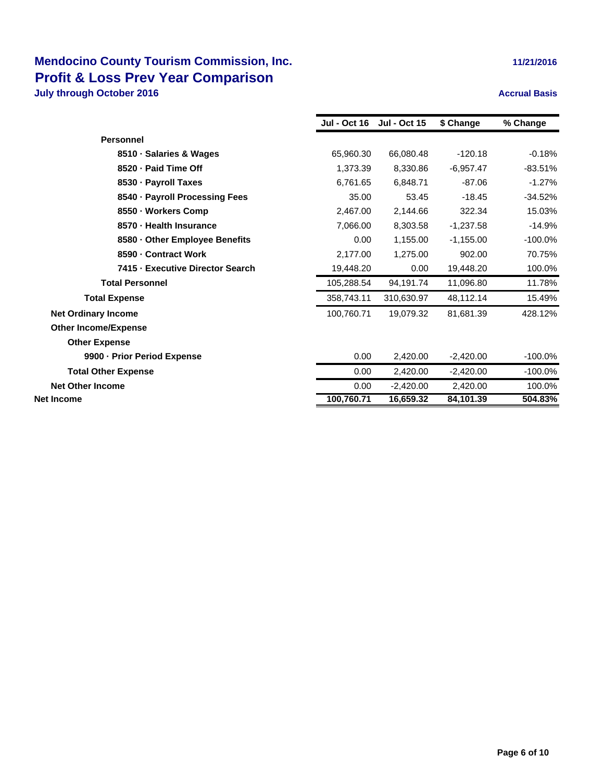|                                  | <b>Jul - Oct 16</b> | <b>Jul - Oct 15</b> | \$ Change   | % Change   |
|----------------------------------|---------------------|---------------------|-------------|------------|
| <b>Personnel</b>                 |                     |                     |             |            |
| 8510 · Salaries & Wages          | 65,960.30           | 66,080.48           | $-120.18$   | $-0.18%$   |
| 8520 - Paid Time Off             | 1,373.39            | 8,330.86            | $-6,957.47$ | $-83.51%$  |
| 8530 - Payroll Taxes             | 6,761.65            | 6,848.71            | $-87.06$    | $-1.27%$   |
| 8540 · Payroll Processing Fees   | 35.00               | 53.45               | $-18.45$    | $-34.52%$  |
| 8550 - Workers Comp              | 2,467.00            | 2,144.66            | 322.34      | 15.03%     |
| 8570 - Health Insurance          | 7,066.00            | 8,303.58            | $-1,237.58$ | $-14.9%$   |
| 8580 - Other Employee Benefits   | 0.00                | 1,155.00            | $-1,155.00$ | $-100.0%$  |
| 8590 - Contract Work             | 2,177.00            | 1,275.00            | 902.00      | 70.75%     |
| 7415 - Executive Director Search | 19,448.20           | 0.00                | 19,448.20   | 100.0%     |
| <b>Total Personnel</b>           | 105,288.54          | 94,191.74           | 11,096.80   | 11.78%     |
| <b>Total Expense</b>             | 358,743.11          | 310,630.97          | 48,112.14   | 15.49%     |
| <b>Net Ordinary Income</b>       | 100,760.71          | 19,079.32           | 81,681.39   | 428.12%    |
| <b>Other Income/Expense</b>      |                     |                     |             |            |
| <b>Other Expense</b>             |                     |                     |             |            |
| 9900 - Prior Period Expense      | 0.00                | 2,420.00            | $-2,420.00$ | $-100.0\%$ |
| <b>Total Other Expense</b>       | 0.00                | 2,420.00            | $-2,420.00$ | $-100.0\%$ |
| <b>Net Other Income</b>          | 0.00                | $-2,420.00$         | 2,420.00    | 100.0%     |
| Net Income                       | 100,760.71          | 16,659.32           | 84,101.39   | 504.83%    |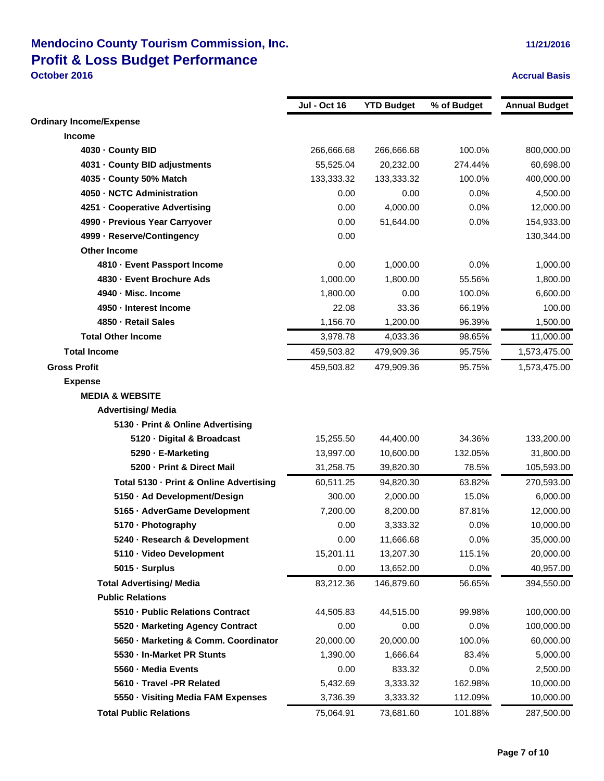### **Mendocino County Tourism Commission, Inc. 11/21/2016 11/21/2016 Profit & Loss Budget Performance October 2016 Accrual Basis**

|                                         | <b>Jul - Oct 16</b> | <b>YTD Budget</b> | % of Budget | <b>Annual Budget</b> |
|-----------------------------------------|---------------------|-------------------|-------------|----------------------|
| <b>Ordinary Income/Expense</b>          |                     |                   |             |                      |
| Income                                  |                     |                   |             |                      |
| 4030 - County BID                       | 266,666.68          | 266,666.68        | 100.0%      | 800,000.00           |
| 4031 - County BID adjustments           | 55,525.04           | 20,232.00         | 274.44%     | 60,698.00            |
| 4035 - County 50% Match                 | 133,333.32          | 133,333.32        | 100.0%      | 400,000.00           |
| 4050 - NCTC Administration              | 0.00                | 0.00              | 0.0%        | 4,500.00             |
| 4251 - Cooperative Advertising          | 0.00                | 4,000.00          | 0.0%        | 12,000.00            |
| 4990 - Previous Year Carryover          | 0.00                | 51,644.00         | 0.0%        | 154,933.00           |
| 4999 - Reserve/Contingency              | 0.00                |                   |             | 130,344.00           |
| Other Income                            |                     |                   |             |                      |
| 4810 - Event Passport Income            | 0.00                | 1,000.00          | 0.0%        | 1,000.00             |
| 4830 - Event Brochure Ads               | 1,000.00            | 1,800.00          | 55.56%      | 1,800.00             |
| 4940 - Misc. Income                     | 1,800.00            | 0.00              | 100.0%      | 6,600.00             |
| 4950 - Interest Income                  | 22.08               | 33.36             | 66.19%      | 100.00               |
| 4850 - Retail Sales                     | 1,156.70            | 1,200.00          | 96.39%      | 1,500.00             |
| <b>Total Other Income</b>               | 3,978.78            | 4,033.36          | 98.65%      | 11,000.00            |
| <b>Total Income</b>                     | 459,503.82          | 479,909.36        | 95.75%      | 1,573,475.00         |
| <b>Gross Profit</b>                     | 459,503.82          | 479,909.36        | 95.75%      | 1,573,475.00         |
| <b>Expense</b>                          |                     |                   |             |                      |
| <b>MEDIA &amp; WEBSITE</b>              |                     |                   |             |                      |
| <b>Advertising/ Media</b>               |                     |                   |             |                      |
| 5130 - Print & Online Advertising       |                     |                   |             |                      |
| 5120 - Digital & Broadcast              | 15,255.50           | 44,400.00         | 34.36%      | 133,200.00           |
| 5290 - E-Marketing                      | 13,997.00           | 10,600.00         | 132.05%     | 31,800.00            |
| 5200 - Print & Direct Mail              | 31,258.75           | 39,820.30         | 78.5%       | 105,593.00           |
| Total 5130 - Print & Online Advertising | 60,511.25           | 94,820.30         | 63.82%      | 270,593.00           |
| 5150 - Ad Development/Design            | 300.00              | 2,000.00          | 15.0%       | 6,000.00             |
| 5165 - AdverGame Development            | 7,200.00            | 8,200.00          | 87.81%      | 12,000.00            |
| 5170 - Photography                      | 0.00                | 3,333.32          | 0.0%        | 10,000.00            |
| 5240 - Research & Development           | 0.00                | 11,666.68         | 0.0%        | 35,000.00            |
| 5110 · Video Development                | 15,201.11           | 13,207.30         | 115.1%      | 20,000.00            |
| 5015 - Surplus                          | 0.00                | 13,652.00         | 0.0%        | 40,957.00            |
| <b>Total Advertising/ Media</b>         | 83,212.36           | 146,879.60        | 56.65%      | 394,550.00           |
| <b>Public Relations</b>                 |                     |                   |             |                      |
| 5510 - Public Relations Contract        | 44,505.83           | 44,515.00         | 99.98%      | 100,000.00           |
| 5520 - Marketing Agency Contract        | 0.00                | 0.00              | 0.0%        | 100,000.00           |
| 5650 - Marketing & Comm. Coordinator    | 20,000.00           | 20,000.00         | 100.0%      | 60,000.00            |
| 5530 - In-Market PR Stunts              | 1,390.00            | 1,666.64          | 83.4%       | 5,000.00             |
| 5560 - Media Events                     | 0.00                | 833.32            | 0.0%        | 2,500.00             |
| 5610 - Travel -PR Related               | 5,432.69            | 3,333.32          | 162.98%     | 10,000.00            |
| 5550 - Visiting Media FAM Expenses      | 3,736.39            | 3,333.32          | 112.09%     | 10,000.00            |
| <b>Total Public Relations</b>           | 75,064.91           | 73,681.60         | 101.88%     | 287,500.00           |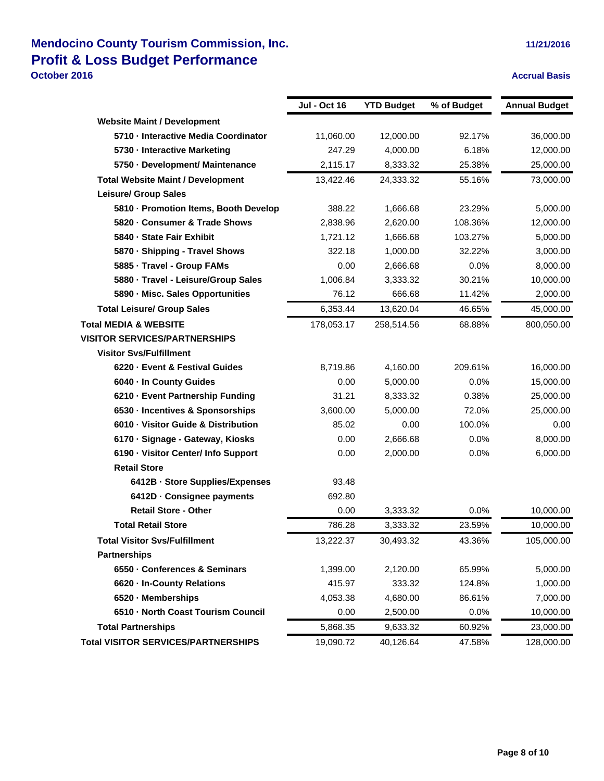### **Mendocino County Tourism Commission, Inc. 11/21/2016 11/21/2016 Profit & Loss Budget Performance October 2016 Accrual Basis**

|                                            | <b>Jul - Oct 16</b> | <b>YTD Budget</b> | % of Budget | <b>Annual Budget</b> |
|--------------------------------------------|---------------------|-------------------|-------------|----------------------|
| <b>Website Maint / Development</b>         |                     |                   |             |                      |
| 5710 - Interactive Media Coordinator       | 11,060.00           | 12,000.00         | 92.17%      | 36,000.00            |
| 5730 - Interactive Marketing               | 247.29              | 4,000.00          | 6.18%       | 12,000.00            |
| 5750 - Development/ Maintenance            | 2,115.17            | 8,333.32          | 25.38%      | 25,000.00            |
| <b>Total Website Maint / Development</b>   | 13,422.46           | 24,333.32         | 55.16%      | 73,000.00            |
| <b>Leisure/ Group Sales</b>                |                     |                   |             |                      |
| 5810 - Promotion Items, Booth Develop      | 388.22              | 1,666.68          | 23.29%      | 5,000.00             |
| 5820 - Consumer & Trade Shows              | 2,838.96            | 2,620.00          | 108.36%     | 12,000.00            |
| 5840 - State Fair Exhibit                  | 1,721.12            | 1,666.68          | 103.27%     | 5,000.00             |
| 5870 - Shipping - Travel Shows             | 322.18              | 1,000.00          | 32.22%      | 3,000.00             |
| 5885 - Travel - Group FAMs                 | 0.00                | 2,666.68          | 0.0%        | 8,000.00             |
| 5880 · Travel - Leisure/Group Sales        | 1,006.84            | 3,333.32          | 30.21%      | 10,000.00            |
| 5890 - Misc. Sales Opportunities           | 76.12               | 666.68            | 11.42%      | 2,000.00             |
| <b>Total Leisure/ Group Sales</b>          | 6.353.44            | 13,620.04         | 46.65%      | 45,000.00            |
| <b>Total MEDIA &amp; WEBSITE</b>           | 178,053.17          | 258,514.56        | 68.88%      | 800,050.00           |
| <b>VISITOR SERVICES/PARTNERSHIPS</b>       |                     |                   |             |                      |
| <b>Visitor Svs/Fulfillment</b>             |                     |                   |             |                      |
| 6220 - Event & Festival Guides             | 8.719.86            | 4,160.00          | 209.61%     | 16,000.00            |
| 6040 - In County Guides                    | 0.00                | 5,000.00          | 0.0%        | 15,000.00            |
| 6210 - Event Partnership Funding           | 31.21               | 8,333.32          | 0.38%       | 25,000.00            |
| 6530 - Incentives & Sponsorships           | 3,600.00            | 5,000.00          | 72.0%       | 25,000.00            |
| 6010 Visitor Guide & Distribution          | 85.02               | 0.00              | 100.0%      | 0.00                 |
| 6170 - Signage - Gateway, Kiosks           | 0.00                | 2,666.68          | 0.0%        | 8,000.00             |
| 6190 - Visitor Center/ Info Support        | 0.00                | 2,000.00          | 0.0%        | 6,000.00             |
| <b>Retail Store</b>                        |                     |                   |             |                      |
| 6412B · Store Supplies/Expenses            | 93.48               |                   |             |                      |
| 6412D Consignee payments                   | 692.80              |                   |             |                      |
| <b>Retail Store - Other</b>                | 0.00                | 3.333.32          | 0.0%        | 10,000.00            |
| <b>Total Retail Store</b>                  | 786.28              | 3,333.32          | 23.59%      | 10,000.00            |
| <b>Total Visitor Svs/Fulfillment</b>       | 13,222.37           | 30,493.32         | 43.36%      | 105,000.00           |
| <b>Partnerships</b>                        |                     |                   |             |                      |
| 6550 - Conferences & Seminars              | 1,399.00            | 2,120.00          | 65.99%      | 5,000.00             |
| 6620 - In-County Relations                 | 415.97              | 333.32            | 124.8%      | 1,000.00             |
| 6520 - Memberships                         | 4,053.38            | 4,680.00          | 86.61%      | 7,000.00             |
| 6510 - North Coast Tourism Council         | 0.00                | 2,500.00          | $0.0\%$     | 10,000.00            |
| <b>Total Partnerships</b>                  | 5,868.35            | 9,633.32          | 60.92%      | 23,000.00            |
| <b>Total VISITOR SERVICES/PARTNERSHIPS</b> | 19,090.72           | 40,126.64         | 47.58%      | 128,000.00           |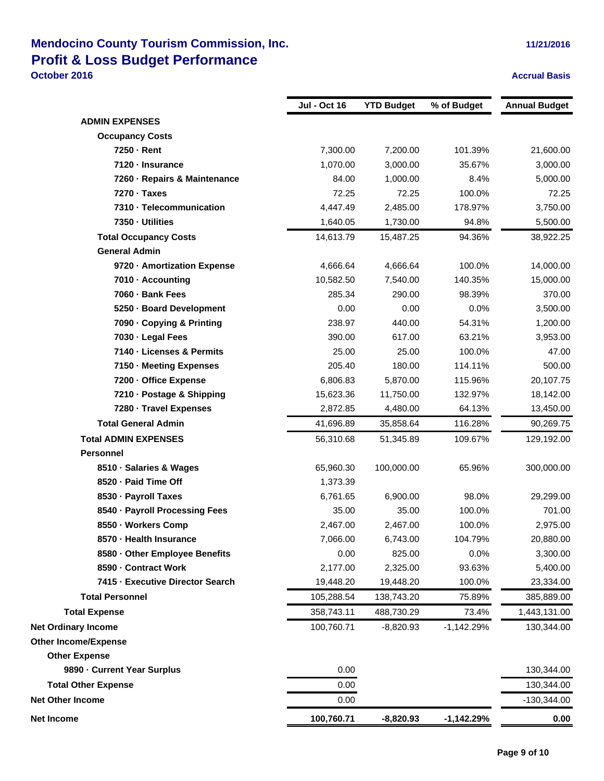### **Mendocino County Tourism Commission, Inc. 11/21/2016 11/21/2016 Profit & Loss Budget Performance October 2016 Accrual Basis**

|                                  | <b>Jul - Oct 16</b> | <b>YTD Budget</b> | % of Budget  | <b>Annual Budget</b> |
|----------------------------------|---------------------|-------------------|--------------|----------------------|
| <b>ADMIN EXPENSES</b>            |                     |                   |              |                      |
| <b>Occupancy Costs</b>           |                     |                   |              |                      |
| 7250 - Rent                      | 7,300.00            | 7,200.00          | 101.39%      | 21,600.00            |
| 7120 - Insurance                 | 1,070.00            | 3,000.00          | 35.67%       | 3,000.00             |
| 7260 - Repairs & Maintenance     | 84.00               | 1,000.00          | 8.4%         | 5,000.00             |
| 7270 - Taxes                     | 72.25               | 72.25             | 100.0%       | 72.25                |
| 7310 - Telecommunication         | 4,447.49            | 2,485.00          | 178.97%      | 3,750.00             |
| 7350 - Utilities                 | 1,640.05            | 1,730.00          | 94.8%        | 5,500.00             |
| <b>Total Occupancy Costs</b>     | 14,613.79           | 15,487.25         | 94.36%       | 38,922.25            |
| <b>General Admin</b>             |                     |                   |              |                      |
| 9720 - Amortization Expense      | 4,666.64            | 4,666.64          | 100.0%       | 14,000.00            |
| 7010 - Accounting                | 10,582.50           | 7,540.00          | 140.35%      | 15,000.00            |
| 7060 - Bank Fees                 | 285.34              | 290.00            | 98.39%       | 370.00               |
| 5250 - Board Development         | 0.00                | 0.00              | 0.0%         | 3,500.00             |
| 7090 - Copying & Printing        | 238.97              | 440.00            | 54.31%       | 1,200.00             |
| 7030 - Legal Fees                | 390.00              | 617.00            | 63.21%       | 3,953.00             |
| 7140 - Licenses & Permits        | 25.00               | 25.00             | 100.0%       | 47.00                |
| 7150 - Meeting Expenses          | 205.40              | 180.00            | 114.11%      | 500.00               |
| 7200 - Office Expense            | 6,806.83            | 5,870.00          | 115.96%      | 20,107.75            |
| 7210 - Postage & Shipping        | 15,623.36           | 11,750.00         | 132.97%      | 18,142.00            |
| 7280 - Travel Expenses           | 2,872.85            | 4,480.00          | 64.13%       | 13,450.00            |
| <b>Total General Admin</b>       | 41,696.89           | 35,858.64         | 116.28%      | 90,269.75            |
| <b>Total ADMIN EXPENSES</b>      | 56,310.68           | 51,345.89         | 109.67%      | 129,192.00           |
| <b>Personnel</b>                 |                     |                   |              |                      |
| 8510 - Salaries & Wages          | 65,960.30           | 100,000.00        | 65.96%       | 300,000.00           |
| 8520 - Paid Time Off             | 1,373.39            |                   |              |                      |
| 8530 - Payroll Taxes             | 6,761.65            | 6,900.00          | 98.0%        | 29,299.00            |
| 8540 - Payroll Processing Fees   | 35.00               | 35.00             | 100.0%       | 701.00               |
| 8550 - Workers Comp              | 2,467.00            | 2,467.00          | 100.0%       | 2,975.00             |
| 8570 - Health Insurance          | 7,066.00            | 6,743.00          | 104.79%      | 20,880.00            |
| 8580 - Other Employee Benefits   | 0.00                | 825.00            | 0.0%         | 3,300.00             |
| 8590 - Contract Work             | 2,177.00            | 2,325.00          | 93.63%       | 5,400.00             |
| 7415 - Executive Director Search | 19,448.20           | 19,448.20         | 100.0%       | 23,334.00            |
| <b>Total Personnel</b>           | 105,288.54          | 138,743.20        | 75.89%       | 385,889.00           |
| <b>Total Expense</b>             | 358,743.11          | 488,730.29        | 73.4%        | 1,443,131.00         |
| <b>Net Ordinary Income</b>       | 100,760.71          | $-8,820.93$       | $-1,142.29%$ | 130,344.00           |
| <b>Other Income/Expense</b>      |                     |                   |              |                      |
| <b>Other Expense</b>             |                     |                   |              |                      |
| 9890 - Current Year Surplus      | 0.00                |                   |              | 130,344.00           |
| <b>Total Other Expense</b>       | 0.00                |                   |              | 130,344.00           |
| <b>Net Other Income</b>          | 0.00                |                   |              | $-130,344.00$        |
| <b>Net Income</b>                | 100,760.71          | $-8,820.93$       | $-1,142.29%$ | 0.00                 |